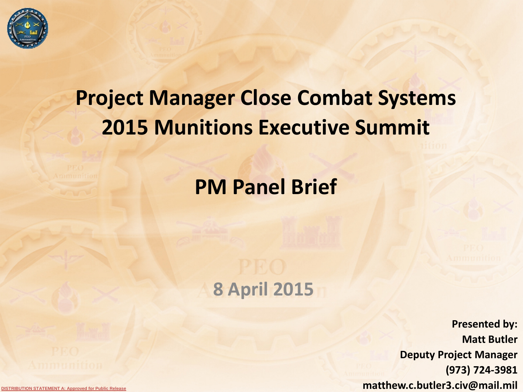

# **Project Manager Close Combat Systems 2015 Munitions Executive Summit**

## **PM Panel Brief**

## **8 April 2015**

**Presented by: Matt Butler Deputy Project Manager (973) 724-3981 matthew.c.butler3.civ@mail.mil** 

**DISTRIBUTION STATEMENT A: Approved for Public Release**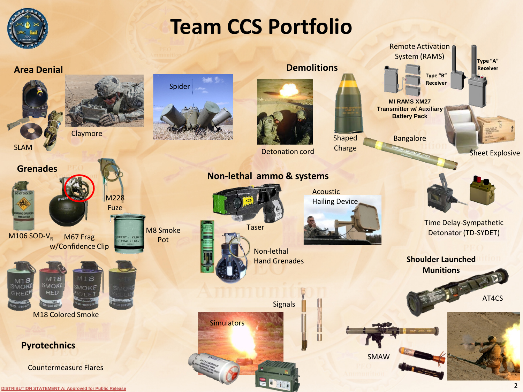

# **Team CCS Portfolio**

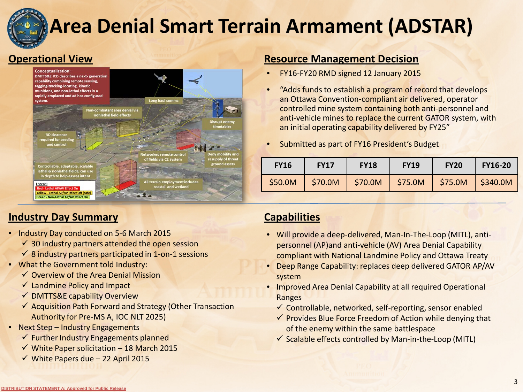

# **Area Denial Smart Terrain Armament (ADSTAR)**

#### **Operational View**



#### **Industry Day Summary**

- Industry Day conducted on 5-6 March 2015
	- $\checkmark$  30 industry partners attended the open session
	- $\checkmark$  8 industry partners participated in 1-on-1 sessions
- What the Government told Industry:
	- $\checkmark$  Overview of the Area Denial Mission
	- $\checkmark$  Landmine Policy and Impact
	- $\checkmark$  DMTTS&E capability Overview
	- $\checkmark$  Acquisition Path Forward and Strategy (Other Transaction Authority for Pre-MS A, IOC NLT 2025)
- Next Step Industry Engagements
	- $\checkmark$  Further Industry Engagements planned
	- $\checkmark$  White Paper solicitation 18 March 2015
	- $\checkmark$  White Papers due 22 April 2015

#### **Resource Management Decision**

- FY16-FY20 RMD signed 12 January 2015
- "Adds funds to establish a program of record that develops an Ottawa Convention-compliant air delivered, operator controlled mine system containing both anti-personnel and anti-vehicle mines to replace the current GATOR system, with an initial operating capability delivered by FY25"
- Submitted as part of FY16 President's Budget

| <b>FY16</b> | <b>FY17</b> | <b>FY18</b> | <b>FY19</b> | <b>FY20</b> | <b>FY16-20</b> |
|-------------|-------------|-------------|-------------|-------------|----------------|
| \$50.0M     | \$70.0M     | \$70.0M     | \$75.0M     | \$75.0M     | \$340.0M       |

#### **Capabilities**

- Will provide a deep-delivered, Man-In-The-Loop (MITL), antipersonnel (AP)and anti-vehicle (AV) Area Denial Capability compliant with National Landmine Policy and Ottawa Treaty
- Deep Range Capability: replaces deep delivered GATOR AP/AV system
- Improved Area Denial Capability at all required Operational Ranges
	- $\checkmark$  Controllable, networked, self-reporting, sensor enabled
	- $\checkmark$  Provides Blue Force Freedom of Action while denying that of the enemy within the same battlespace
	- $\checkmark$  Scalable effects controlled by Man-in-the-Loop (MITL)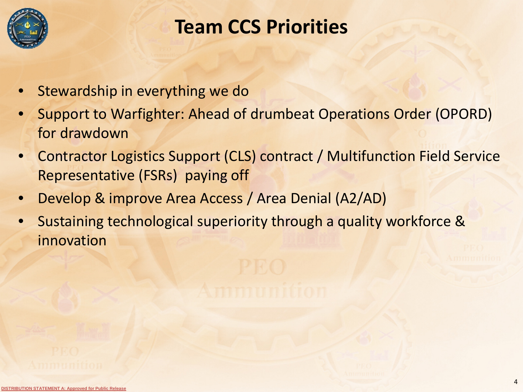

## **Team CCS Priorities**

- Stewardship in everything we do
- Support to Warfighter: Ahead of drumbeat Operations Order (OPORD) for drawdown
- Contractor Logistics Support (CLS) contract / Multifunction Field Service Representative (FSRs) paying off
- Develop & improve Area Access / Area Denial (A2/AD)
- Sustaining technological superiority through a quality workforce & innovation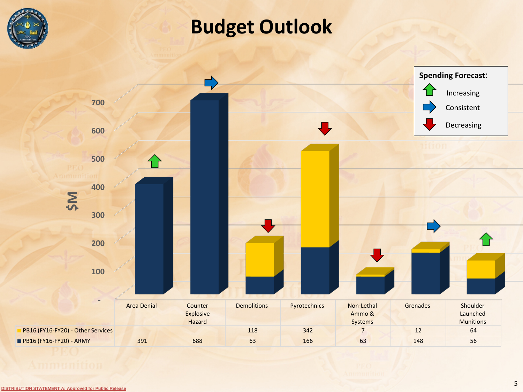

## **Budget Outlook**

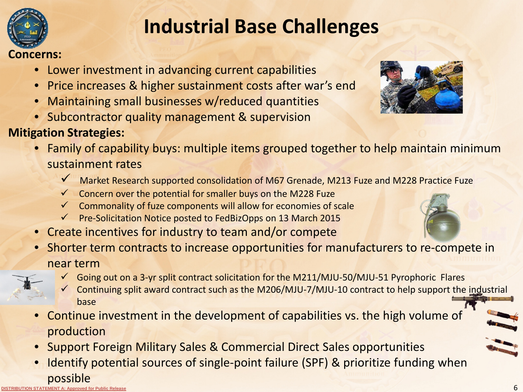

## **Industrial Base Challenges**

#### **Concerns:**

- Lower investment in advancing current capabilities
- Price increases & higher sustainment costs after war's end
- Maintaining small businesses w/reduced quantities
- Subcontractor quality management & supervision

### **Mitigation Strategies:**

- Family of capability buys: multiple items grouped together to help maintain minimum sustainment rates
	- Market Research supported consolidation of M67 Grenade, M213 Fuze and M228 Practice Fuze
	- $\checkmark$  Concern over the potential for smaller buys on the M228 Fuze
	- $\checkmark$  Commonality of fuze components will allow for economies of scale
	- $\checkmark$  Pre-Solicitation Notice posted to FedBizOpps on 13 March 2015
- Create incentives for industry to team and/or compete
- Shorter term contracts to increase opportunities for manufacturers to re-compete in near term
	- $\checkmark$  Going out on a 3-yr split contract solicitation for the M211/MJU-50/MJU-51 Pyrophoric Flares
	- Continuing split award contract such as the M206/MJU-7/MJU-10 contract to help support the industrial base
- Continue investment in the development of capabilities vs. the high volume of production
- Support Foreign Military Sales & Commercial Direct Sales opportunities
- **DISTRIBUTION STATEMENT A: Approved for Public Release** • Identify potential sources of single-point failure (SPF) & prioritize funding when possible



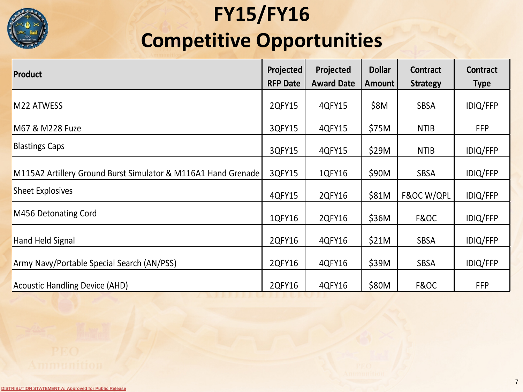# **FY15/FY16 Competitive Opportunities**

| Product                                                       | <b>Projected</b><br><b>RFP Date</b> | Projected<br><b>Award Date</b> | <b>Dollar</b><br>Amount | <b>Contract</b><br><b>Strategy</b> | <b>Contract</b><br><b>Type</b> |
|---------------------------------------------------------------|-------------------------------------|--------------------------------|-------------------------|------------------------------------|--------------------------------|
| M22 ATWESS                                                    | 2QFY15                              | 4QFY15                         | \$8M                    | <b>SBSA</b>                        | <b>IDIQ/FFP</b>                |
| M67 & M228 Fuze                                               | 3QFY15                              | 4QFY15                         | \$75M                   | <b>NTIB</b>                        | <b>FFP</b>                     |
| <b>Blastings Caps</b>                                         | 3QFY15                              | 4QFY15                         | \$29M                   | <b>NTIB</b>                        | <b>IDIQ/FFP</b>                |
| M115A2 Artillery Ground Burst Simulator & M116A1 Hand Grenade |                                     | 1QFY16                         | \$90M                   | <b>SBSA</b>                        | <b>IDIQ/FFP</b>                |
| <b>Sheet Explosives</b>                                       | 4QFY15                              | 2QFY16                         | \$81M                   | F&OC W/QPL                         | <b>IDIQ/FFP</b>                |
| M456 Detonating Cord                                          | 1QFY16                              | 2QFY16                         | \$36M                   | F&OC                               | <b>IDIQ/FFP</b>                |
| Hand Held Signal                                              | 2QFY16                              | 4QFY16                         | \$21M                   | <b>SBSA</b>                        | <b>IDIQ/FFP</b>                |
| Army Navy/Portable Special Search (AN/PSS)                    | 2QFY16                              | 4QFY16                         | \$39M                   | <b>SBSA</b>                        | <b>IDIQ/FFP</b>                |
| Acoustic Handling Device (AHD)                                | 2QFY16                              | 4QFY16                         | \$80M                   | F&OC                               | <b>FFP</b>                     |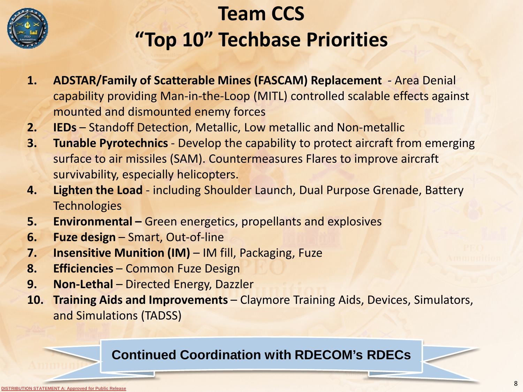

# **Team CCS "Top 10" Techbase Priorities**

- **1. ADSTAR/Family of Scatterable Mines (FASCAM) Replacement**  Area Denial capability providing Man-in-the-Loop (MITL) controlled scalable effects against mounted and dismounted enemy forces
- **2. IEDs** Standoff Detection, Metallic, Low metallic and Non-metallic
- **3. Tunable Pyrotechnics** Develop the capability to protect aircraft from emerging surface to air missiles (SAM). Countermeasures Flares to improve aircraft survivability, especially helicopters.
- **4. Lighten the Load**  including Shoulder Launch, Dual Purpose Grenade, Battery **Technologies**
- **5. Environmental –** Green energetics, propellants and explosives
- **6. Fuze design**  Smart, Out-of-line
- **7. Insensitive Munition (IM)** IM fill, Packaging, Fuze
- **8. Efficiencies** Common Fuze Design
- **9. Non-Lethal** Directed Energy, Dazzler
- **10. Training Aids and Improvements**  Claymore Training Aids, Devices, Simulators, and Simulations (TADSS)

### **Continued Coordination with RDECOM's RDECs**